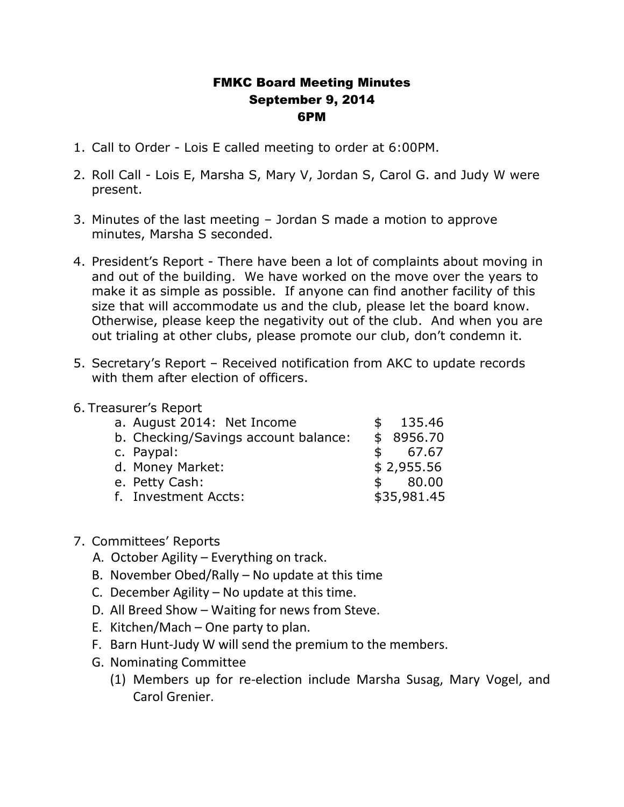## FMKC Board Meeting Minutes September 9, 2014 6PM

- 1. Call to Order Lois E called meeting to order at 6:00PM.
- 2. Roll Call Lois E, Marsha S, Mary V, Jordan S, Carol G. and Judy W were present.
- 3. Minutes of the last meeting Jordan S made a motion to approve minutes, Marsha S seconded.
- 4. President's Report There have been a lot of complaints about moving in and out of the building. We have worked on the move over the years to make it as simple as possible. If anyone can find another facility of this size that will accommodate us and the club, please let the board know. Otherwise, please keep the negativity out of the club. And when you are out trialing at other clubs, please promote our club, don't condemn it.
- 5. Secretary's Report Received notification from AKC to update records with them after election of officers.
- 6. Treasurer's Report

| a. August 2014: Net Income           |              | 135.46      |
|--------------------------------------|--------------|-------------|
| b. Checking/Savings account balance: |              | \$8956.70   |
| c. Paypal:                           | $\mathsf{s}$ | 67.67       |
| d. Money Market:                     |              | \$2,955.56  |
| e. Petty Cash:                       | $\mathbb{S}$ | 80.00       |
| f. Investment Accts:                 |              | \$35,981.45 |
|                                      |              |             |

- 7. Committees' Reports
	- A. October Agility Everything on track.
	- B. November Obed/Rally No update at this time
	- C. December Agility No update at this time.
	- D. All Breed Show Waiting for news from Steve.
	- E. Kitchen/Mach One party to plan.
	- F. Barn Hunt-Judy W will send the premium to the members.
	- G. Nominating Committee
		- (1) Members up for re-election include Marsha Susag, Mary Vogel, and Carol Grenier.